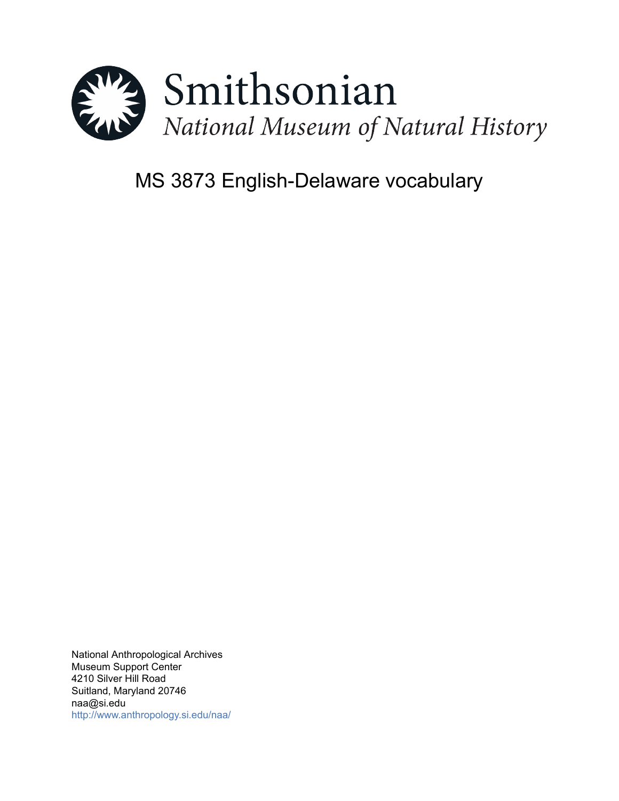

# MS 3873 English-Delaware vocabulary

National Anthropological Archives Museum Support Center 4210 Silver Hill Road Suitland, Maryland 20746 naa@si.edu <http://www.anthropology.si.edu/naa/>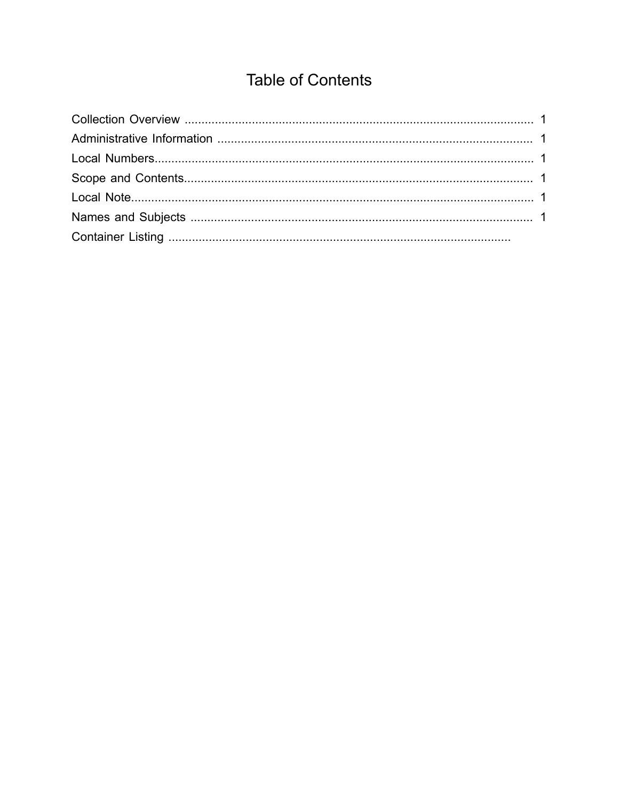## **Table of Contents**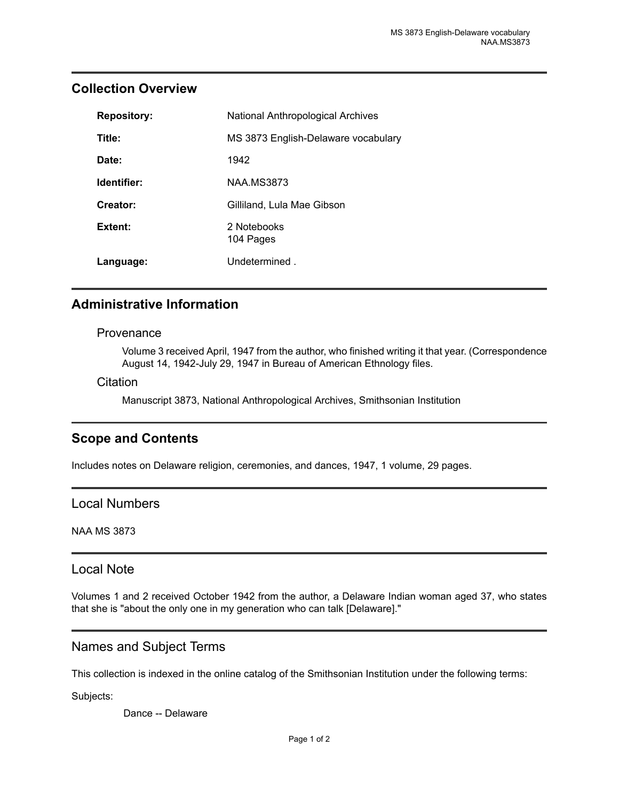| <b>Repository:</b> | National Anthropological Archives   |
|--------------------|-------------------------------------|
| Title:             | MS 3873 English-Delaware vocabulary |
| Date:              | 1942                                |
| Identifier:        | <b>NAA.MS3873</b>                   |
| Creator:           | Gilliland, Lula Mae Gibson          |
| Extent:            | 2 Notebooks<br>104 Pages            |
| Language:          | Undetermined.                       |

## <span id="page-2-0"></span>**Collection Overview**

## <span id="page-2-1"></span>**Administrative Information**

#### Provenance

Volume 3 received April, 1947 from the author, who finished writing it that year. (Correspondence August 14, 1942-July 29, 1947 in Bureau of American Ethnology files.

#### **Citation**

Manuscript 3873, National Anthropological Archives, Smithsonian Institution

## <span id="page-2-3"></span>**Scope and Contents**

Includes notes on Delaware religion, ceremonies, and dances, 1947, 1 volume, 29 pages.

<span id="page-2-2"></span>Local Numbers

NAA MS 3873

## <span id="page-2-4"></span>Local Note

Volumes 1 and 2 received October 1942 from the author, a Delaware Indian woman aged 37, who states that she is "about the only one in my generation who can talk [Delaware]."

## <span id="page-2-5"></span>Names and Subject Terms

This collection is indexed in the online catalog of the Smithsonian Institution under the following terms:

Subjects:

Dance -- Delaware